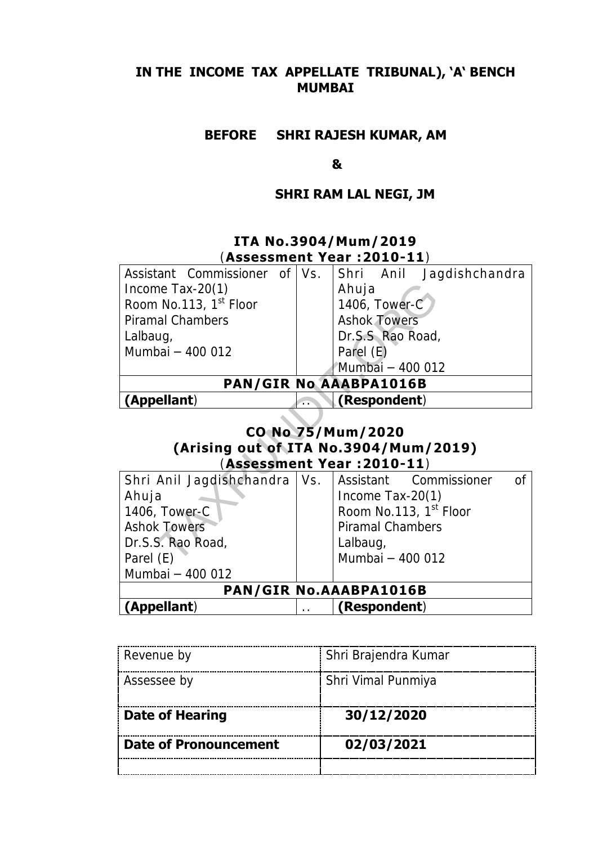## **IN THE INCOME TAX APPELLATE TRIBUNAL), 'A' BENCH MUMBAI**

## **BEFORE SHRI RAJESH KUMAR, AM**

#### **&**

## **SHRI RAM LAL NEGI, JM**

# **ITA No.3904/Mum/2019** (**Assessment Year :2010-11**)

| Assistant Commissioner of Vs.         |  |                                    | Shri Anil Jaqdishchandra |                 |  |
|---------------------------------------|--|------------------------------------|--------------------------|-----------------|--|
| Income Tax-20 $(1)$                   |  | Ahuja                              |                          |                 |  |
| Room No.113, 1 <sup>st</sup> Floor    |  | 1406, Tower-C                      |                          |                 |  |
| Piramal Chambers                      |  | <b>Ashok Towers</b>                |                          |                 |  |
| Lalbaug,                              |  | Dr.S.S Rao Road,                   |                          |                 |  |
| Mumbai - 400 012                      |  | Parel (E)                          |                          |                 |  |
|                                       |  | Mumbai - 400 012                   |                          |                 |  |
|                                       |  | <b>PAN/GIR No AAABPA1016B</b>      |                          |                 |  |
| (Appellant)                           |  | (Respondent)                       |                          |                 |  |
|                                       |  | CO No 75/Mum/2020                  |                          |                 |  |
| (Arising out of ITA No.3904/Mum/2019) |  |                                    |                          |                 |  |
| (Assessment Year :2010-11)            |  |                                    |                          |                 |  |
| Shri Anil Jagdishchandra   Vs.        |  | Assistant Commissioner             |                          | $\overline{O}f$ |  |
| Ahuja                                 |  | Income Tax-20 $(1)$                |                          |                 |  |
| 1406, Tower-C                         |  | Room No.113, 1 <sup>st</sup> Floor |                          |                 |  |
| <b>Ashok Towers</b>                   |  | Piramal Chambers                   |                          |                 |  |
|                                       |  |                                    |                          |                 |  |
| Dr.S.S. Rao Road,                     |  | Lalbaug,                           |                          |                 |  |

## **CO No 75/Mum/2020 (Arising out of ITA No.3904/Mum/2019)**  (**Assessment Year :2010-11**)

| Shri Anil Jagdishchandra   Vs. |  |                  | Assistant Commissioner             |  |  |  |
|--------------------------------|--|------------------|------------------------------------|--|--|--|
| Ahuja                          |  | Income Tax-20(1) |                                    |  |  |  |
| 1406, Tower-C                  |  |                  | Room No.113, 1 <sup>st</sup> Floor |  |  |  |
| <b>Ashok Towers</b>            |  | Piramal Chambers |                                    |  |  |  |
| Dr.S.S. Rao Road,              |  | Lalbaug,         |                                    |  |  |  |
| Parel (E)                      |  | Mumbai - 400 012 |                                    |  |  |  |
| Mumbai - 400 012               |  |                  |                                    |  |  |  |
| PAN/GIR No.AAABPA1016B         |  |                  |                                    |  |  |  |
| (Appellant)                    |  | (Respondent)     |                                    |  |  |  |

| Revenue by             | Shri Brajendra Kumar |
|------------------------|----------------------|
| Assessee by            | Shri Vimal Punmiya   |
| <b>Date of Hearing</b> | 30/12/2020           |
| Date of Pronouncement  | 02/03/2021           |
|                        |                      |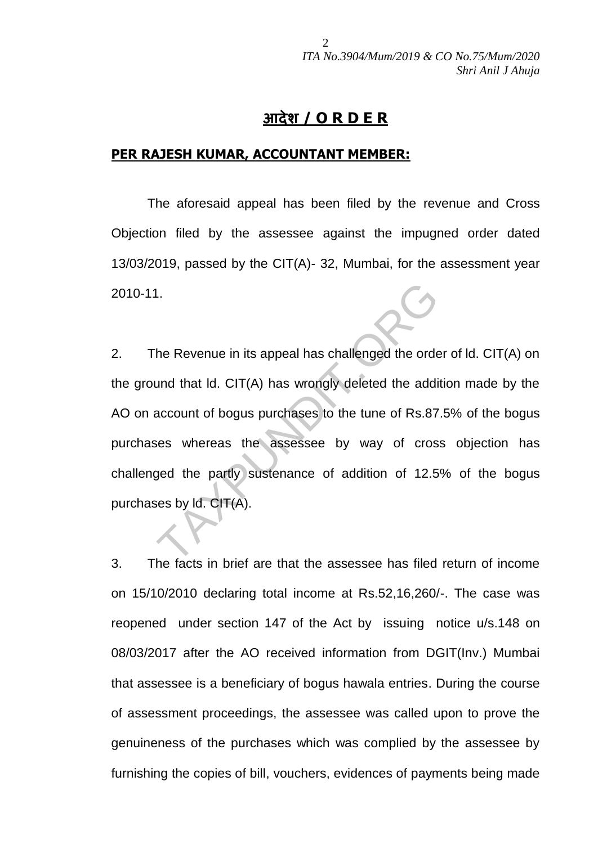# **आदेश / O R D E R**

#### **PER RAJESH KUMAR, ACCOUNTANT MEMBER:**

The aforesaid appeal has been filed by the revenue and Cross Objection filed by the assessee against the impugned order dated 13/03/2019, passed by the CIT(A)- 32, Mumbai, for the assessment year 2010-11.

2. The Revenue in its appeal has challenged the order of ld. CIT(A) on the ground that ld. CIT(A) has wrongly deleted the addition made by the AO on account of bogus purchases to the tune of Rs.87.5% of the bogus purchases whereas the assessee by way of cross objection has challenged the partly sustenance of addition of 12.5% of the bogus purchases by ld. CIT(A). I.<br>
The Revenue in its appeal has challenged the order<br>
und that Id. CIT(A) has wrongly deleted the addi<br>
account of bogus purchases to the tune of Rs.87<br>
ses whereas the assessee by way of cros<br>
ged the partly sustenance

3. The facts in brief are that the assessee has filed return of income on 15/10/2010 declaring total income at Rs.52,16,260/-. The case was reopened under section 147 of the Act by issuing notice u/s.148 on 08/03/2017 after the AO received information from DGIT(Inv.) Mumbai that assessee is a beneficiary of bogus hawala entries. During the course of assessment proceedings, the assessee was called upon to prove the genuineness of the purchases which was complied by the assessee by furnishing the copies of bill, vouchers, evidences of payments being made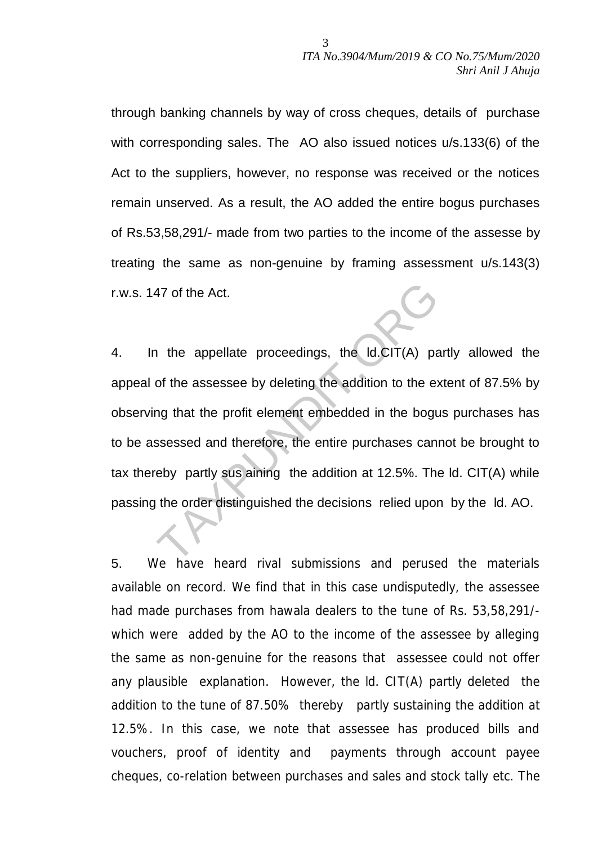through banking channels by way of cross cheques, details of purchase with corresponding sales. The AO also issued notices u/s.133(6) of the Act to the suppliers, however, no response was received or the notices remain unserved. As a result, the AO added the entire bogus purchases of Rs.53,58,291/- made from two parties to the income of the assesse by treating the same as non-genuine by framing assessment u/s.143(3) r.w.s. 147 of the Act.

4. In the appellate proceedings, the ld.CIT(A) partly allowed the appeal of the assessee by deleting the addition to the extent of 87.5% by observing that the profit element embedded in the bogus purchases has to be assessed and therefore, the entire purchases cannot be brought to tax thereby partly sus aining the addition at 12.5%. The ld. CIT(A) while passing the order distinguished the decisions relied upon by the ld. AO. 47 of the Act.<br>
1 the appellate proceedings, the Id.CIT(A) pa<br>
1 the assessee by deleting the addition to the example that the profit element embedded in the bogus<br>
1 the profit element embedded in the bogus<br>
1 the profit

5. We have heard rival submissions and perused the materials available on record. We find that in this case undisputedly, the assessee had made purchases from hawala dealers to the tune of Rs. 53,58,291/ which were added by the AO to the income of the assessee by alleging the same as non-genuine for the reasons that assessee could not offer any plausible explanation. However, the ld. CIT(A) partly deleted the addition to the tune of 87.50% thereby partly sustaining the addition at 12.5%. In this case, we note that assessee has produced bills and vouchers, proof of identity and payments through account payee cheques, co-relation between purchases and sales and stock tally etc. The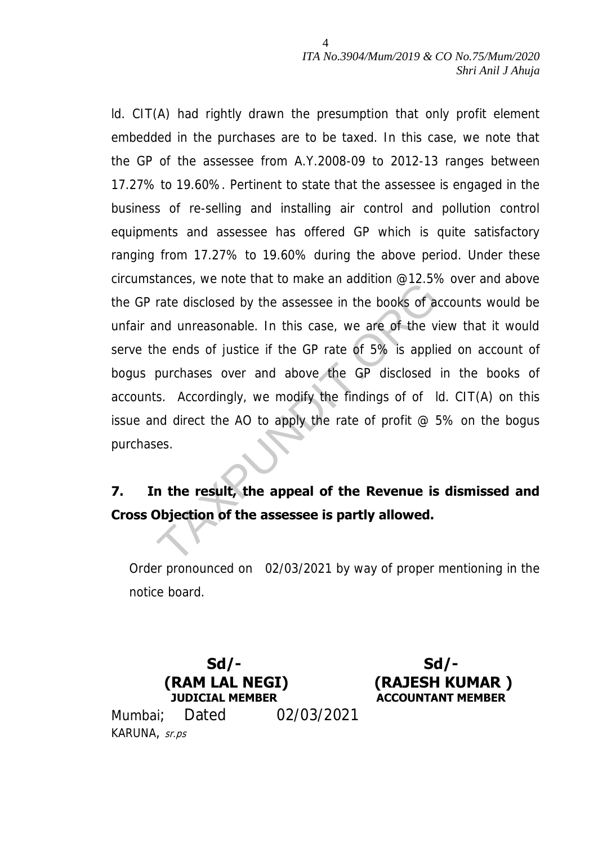ld. CIT(A) had rightly drawn the presumption that only profit element embedded in the purchases are to be taxed. In this case, we note that the GP of the assessee from A.Y.2008-09 to 2012-13 ranges between 17.27% to 19.60%. Pertinent to state that the assessee is engaged in the business of re-selling and installing air control and pollution control equipments and assessee has offered GP which is quite satisfactory ranging from 17.27% to 19.60% during the above period. Under these circumstances, we note that to make an addition @12.5% over and above the GP rate disclosed by the assessee in the books of accounts would be unfair and unreasonable. In this case, we are of the view that it would serve the ends of justice if the GP rate of 5% is applied on account of bogus purchases over and above the GP disclosed in the books of accounts. Accordingly, we modify the findings of of ld. CIT(A) on this issue and direct the AO to apply the rate of profit  $\omega$  5% on the bogus purchases. rate disclosed by the assessee in the books of a<br>and unreasonable. In this case, we are of the viewed and unreasonable. In this case, we are of the viewed and above the GP disclosed<br>by the GP disclosed<br>s. Accordingly, we m

# **7. In the result, the appeal of the Revenue is dismissed and Cross Objection of the assessee is partly allowed.**

Order pronounced on 02/03/2021 by way of proper mentioning in the notice board.



**Sd/- (RAJESH KUMAR ) JUDICIAL MEMBER ACCOUNTANT MEMBER**

Mumbai; Dated 02/03/2021 KARUNA, sr.ps